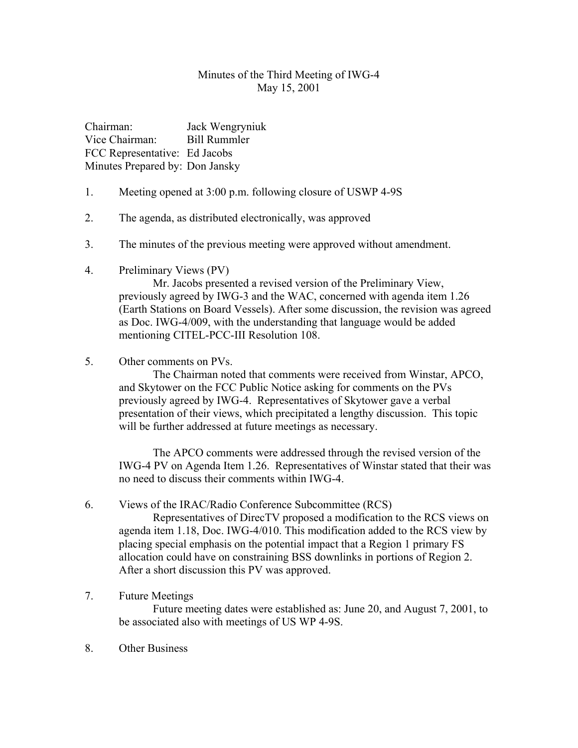### Minutes of the Third Meeting of IWG-4 May 15, 2001

Chairman: Jack Wengryniuk Vice Chairman: Bill Rummler FCC Representative: Ed Jacobs Minutes Prepared by: Don Jansky

- 1. Meeting opened at 3:00 p.m. following closure of USWP 4-9S
- 2. The agenda, as distributed electronically, was approved
- 3. The minutes of the previous meeting were approved without amendment.
- 4. Preliminary Views (PV)

Mr. Jacobs presented a revised version of the Preliminary View, previously agreed by IWG-3 and the WAC, concerned with agenda item 1.26 (Earth Stations on Board Vessels). After some discussion, the revision was agreed as Doc. IWG-4/009, with the understanding that language would be added mentioning CITEL-PCC-III Resolution 108.

5. Other comments on PVs.

The Chairman noted that comments were received from Winstar, APCO, and Skytower on the FCC Public Notice asking for comments on the PVs previously agreed by IWG-4. Representatives of Skytower gave a verbal presentation of their views, which precipitated a lengthy discussion. This topic will be further addressed at future meetings as necessary.

The APCO comments were addressed through the revised version of the IWG-4 PV on Agenda Item 1.26. Representatives of Winstar stated that their was no need to discuss their comments within IWG-4.

#### 6. Views of the IRAC/Radio Conference Subcommittee (RCS)

Representatives of DirecTV proposed a modification to the RCS views on agenda item 1.18, Doc. IWG-4/010. This modification added to the RCS view by placing special emphasis on the potential impact that a Region 1 primary FS allocation could have on constraining BSS downlinks in portions of Region 2. After a short discussion this PV was approved.

#### 7. Future Meetings

Future meeting dates were established as: June 20, and August 7, 2001, to be associated also with meetings of US WP 4-9S.

8. Other Business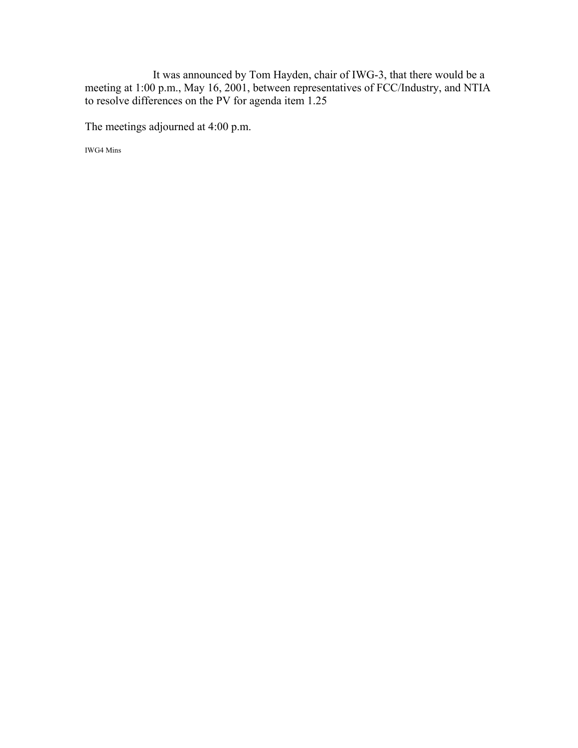It was announced by Tom Hayden, chair of IWG-3, that there would be a meeting at 1:00 p.m., May 16, 2001, between representatives of FCC/Industry, and NTIA to resolve differences on the PV for agenda item 1.25

The meetings adjourned at 4:00 p.m.

IWG4 Mins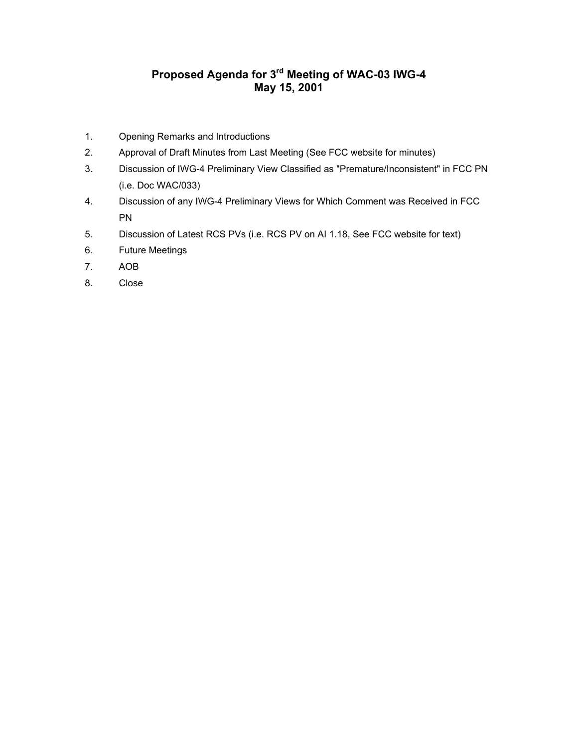## **Proposed Agenda for 3rd Meeting of WAC-03 IWG-4 May 15, 2001**

- 1. Opening Remarks and Introductions
- 2. Approval of Draft Minutes from Last Meeting (See FCC website for minutes)
- 3. Discussion of IWG-4 Preliminary View Classified as "Premature/Inconsistent" in FCC PN (i.e. Doc WAC/033)
- 4. Discussion of any IWG-4 Preliminary Views for Which Comment was Received in FCC PN
- 5. Discussion of Latest RCS PVs (i.e. RCS PV on AI 1.18, See FCC website for text)
- 6. Future Meetings
- 7. AOB
- 8. Close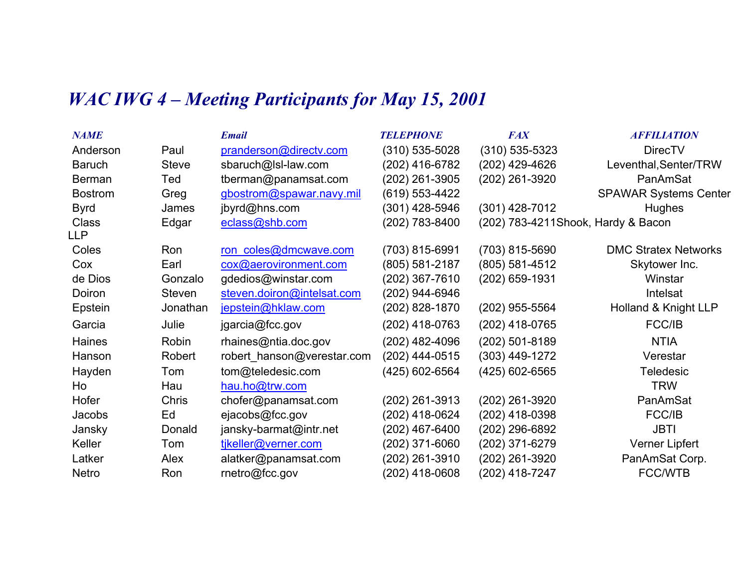# *WAC IWG 4 – Meeting Participants for May 15, 2001*

| <b>NAME</b>    |              | <b>Email</b>               | <b>TELEPHONE</b> | <b>FAX</b>                          | <b>AFFILIATION</b>           |
|----------------|--------------|----------------------------|------------------|-------------------------------------|------------------------------|
| Anderson       | Paul         | pranderson@directv.com     | (310) 535-5028   | $(310)$ 535-5323                    | <b>DirecTV</b>               |
| <b>Baruch</b>  | <b>Steve</b> | sbaruch@lsl-law.com        | (202) 416-6782   | (202) 429-4626                      | Leventhal, Senter/TRW        |
| <b>Berman</b>  | Ted          | tberman@panamsat.com       | (202) 261-3905   | (202) 261-3920                      | PanAmSat                     |
| <b>Bostrom</b> | Greg         | gbostrom@spawar.navy.mil   | (619) 553-4422   |                                     | <b>SPAWAR Systems Center</b> |
| <b>Byrd</b>    | James        | jbyrd@hns.com              | (301) 428-5946   | $(301)$ 428-7012                    | <b>Hughes</b>                |
| <b>Class</b>   | Edgar        | eclass@shb.com             | (202) 783-8400   | (202) 783-4211 Shook, Hardy & Bacon |                              |
| LLP            |              |                            |                  |                                     |                              |
| Coles          | Ron          | ron coles@dmcwave.com      | (703) 815-6991   | (703) 815-5690                      | <b>DMC Stratex Networks</b>  |
| Cox            | Earl         | cox@aerovironment.com      | (805) 581-2187   | (805) 581-4512                      | Skytower Inc.                |
| de Dios        | Gonzalo      | gdedios@winstar.com        | (202) 367-7610   | (202) 659-1931                      | Winstar                      |
| Doiron         | Steven       | steven.doiron@intelsat.com | (202) 944-6946   |                                     | Intelsat                     |
| Epstein        | Jonathan     | jepstein@hklaw.com         | (202) 828-1870   | (202) 955-5564                      | Holland & Knight LLP         |
| Garcia         | Julie        | jgarcia@fcc.gov            | (202) 418-0763   | (202) 418-0765                      | FCC/IB                       |
| Haines         | Robin        | rhaines@ntia.doc.gov       | (202) 482-4096   | (202) 501-8189                      | <b>NTIA</b>                  |
| Hanson         | Robert       | robert hanson@verestar.com | (202) 444-0515   | $(303)$ 449-1272                    | Verestar                     |
| Hayden         | Tom          | tom@teledesic.com          | (425) 602-6564   | (425) 602-6565                      | <b>Teledesic</b>             |
| Ho             | Hau          | hau.ho@trw.com             |                  |                                     | <b>TRW</b>                   |
| Hofer          | Chris        | chofer@panamsat.com        | (202) 261-3913   | (202) 261-3920                      | PanAmSat                     |
| Jacobs         | Ed           | ejacobs@fcc.gov            | (202) 418-0624   | (202) 418-0398                      | FCC/IB                       |
| Jansky         | Donald       | jansky-barmat@intr.net     | (202) 467-6400   | (202) 296-6892                      | <b>JBTI</b>                  |
| Keller         | Tom          | tikeller@verner.com        | (202) 371-6060   | (202) 371-6279                      | Verner Lipfert               |
| Latker         | Alex         | alatker@panamsat.com       | (202) 261-3910   | (202) 261-3920                      | PanAmSat Corp.               |
| <b>Netro</b>   | Ron          | rnetro@fcc.gov             | (202) 418-0608   | (202) 418-7247                      | <b>FCC/WTB</b>               |